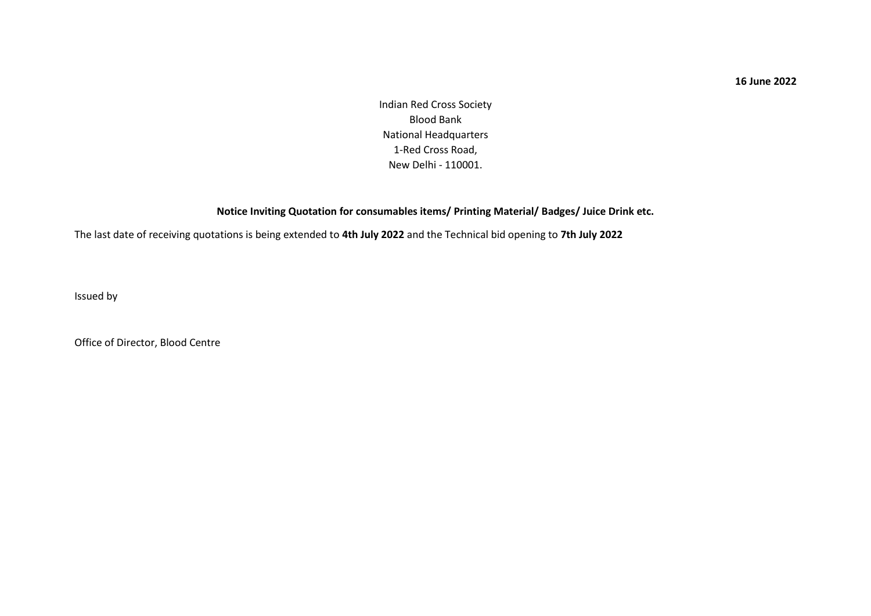#### **16 June 2022**

Indian Red Cross Society Blood Bank National Headquarters 1-Red Cross Road, New Delhi - 110001.

#### **Notice Inviting Quotation for consumables items/ Printing Material/ Badges/ Juice Drink etc.**

The last date of receiving quotations is being extended to **4th July 2022** and the Technical bid opening to **7th July 2022**

Issued by

Office of Director, Blood Centre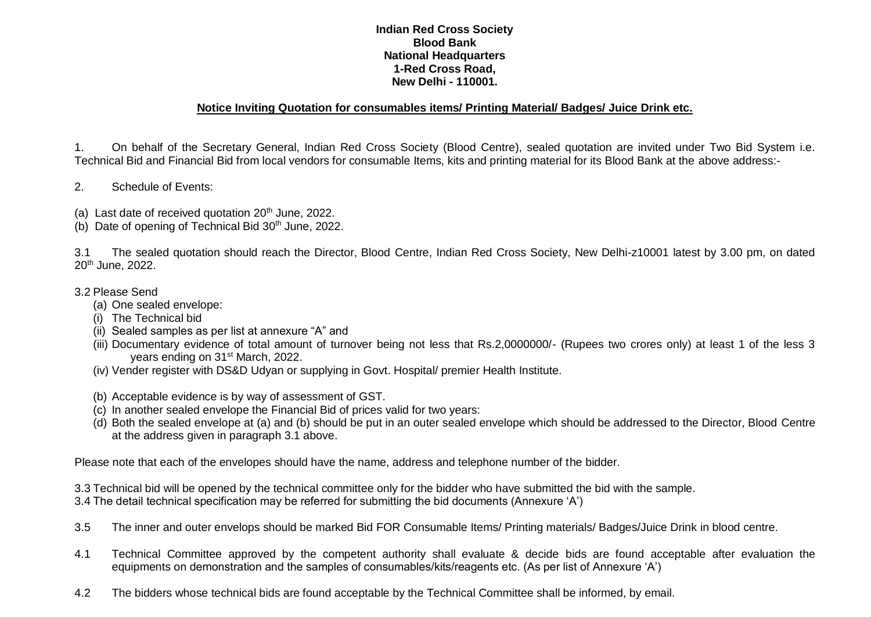#### **Indian Red Cross Society Blood Bank National Headquarters 1-Red Cross Road, New Delhi - 110001.**

#### **Notice Inviting Quotation for consumables items/ Printing Material/ Badges/ Juice Drink etc.**

1. On behalf of the Secretary General, Indian Red Cross Society (Blood Centre), sealed quotation are invited under Two Bid System i.e. Technical Bid and Financial Bid from local vendors for consumable Items, kits and printing material for its Blood Bank at the above address:-

- 2. Schedule of Events:
- (a) Last date of received quotation 20<sup>th</sup> June, 2022.
- (b) Date of opening of Technical Bid  $30<sup>th</sup>$  June, 2022.

3.1 The sealed quotation should reach the Director, Blood Centre, Indian Red Cross Society, New Delhi-z10001 latest by 3.00 pm, on dated 20<sup>th</sup> June, 2022.

- 3.2 Please Send
	- (a) One sealed envelope:
	- (i) The Technical bid
	- (ii) Sealed samples as per list at annexure "A" and
	- (iii) Documentary evidence of total amount of turnover being not less that Rs.2,0000000/- (Rupees two crores only) at least 1 of the less 3 years ending on 31st March, 2022.
	- (iv) Vender register with DS&D Udyan or supplying in Govt. Hospital/ premier Health Institute.
	- (b) Acceptable evidence is by way of assessment of GST.
	- (c) In another sealed envelope the Financial Bid of prices valid for two years:
	- (d) Both the sealed envelope at (a) and (b) should be put in an outer sealed envelope which should be addressed to the Director, Blood Centre at the address given in paragraph 3.1 above.

Please note that each of the envelopes should have the name, address and telephone number of the bidder.

- 3.3 Technical bid will be opened by the technical committee only for the bidder who have submitted the bid with the sample.
- 3.4 The detail technical specification may be referred for submitting the bid documents (Annexure 'A')
- 3.5 The inner and outer envelops should be marked Bid FOR Consumable Items/ Printing materials/ Badges/Juice Drink in blood centre.
- 4.1 Technical Committee approved by the competent authority shall evaluate & decide bids are found acceptable after evaluation the equipments on demonstration and the samples of consumables/kits/reagents etc. (As per list of Annexure 'A')
- 4.2 The bidders whose technical bids are found acceptable by the Technical Committee shall be informed, by email.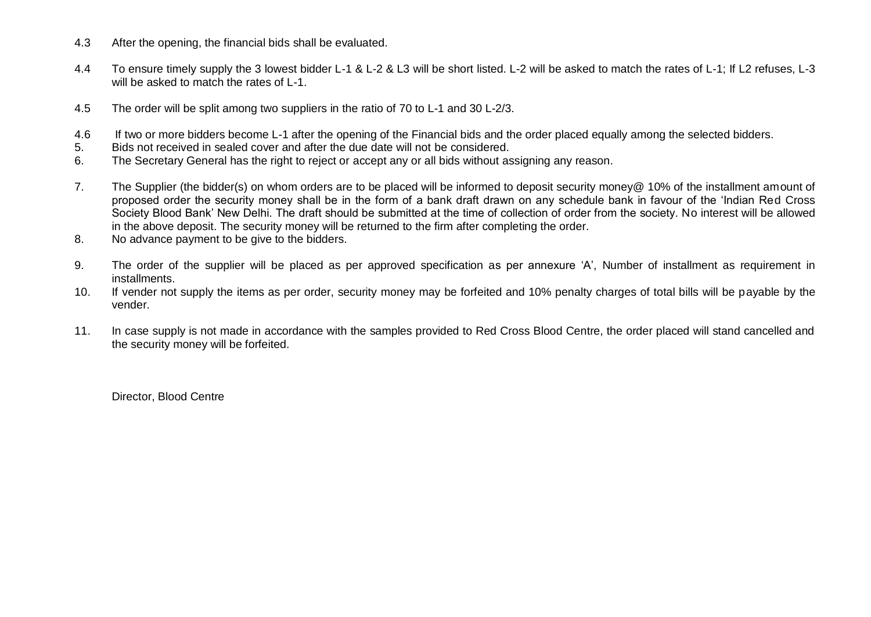- 4.3 After the opening, the financial bids shall be evaluated.
- 4.4 To ensure timely supply the 3 lowest bidder L-1 & L-2 & L3 will be short listed. L-2 will be asked to match the rates of L-1; If L2 refuses, L-3 will be asked to match the rates of L-1.
- 4.5 The order will be split among two suppliers in the ratio of 70 to L-1 and 30 L-2/3.
- 4.6 If two or more bidders become L-1 after the opening of the Financial bids and the order placed equally among the selected bidders.
- 5. Bids not received in sealed cover and after the due date will not be considered.
- 6. The Secretary General has the right to reject or accept any or all bids without assigning any reason.
- 7. The Supplier (the bidder(s) on whom orders are to be placed will be informed to deposit security money@ 10% of the installment amount of proposed order the security money shall be in the form of a bank draft drawn on any schedule bank in favour of the 'Indian Red Cross Society Blood Bank' New Delhi. The draft should be submitted at the time of collection of order from the society. No interest will be allowed in the above deposit. The security money will be returned to the firm after completing the order.
- 8. No advance payment to be give to the bidders.
- 9. The order of the supplier will be placed as per approved specification as per annexure 'A', Number of installment as requirement in installments.
- 10. If vender not supply the items as per order, security money may be forfeited and 10% penalty charges of total bills will be payable by the vender.
- 11. In case supply is not made in accordance with the samples provided to Red Cross Blood Centre, the order placed will stand cancelled and the security money will be forfeited.

Director, Blood Centre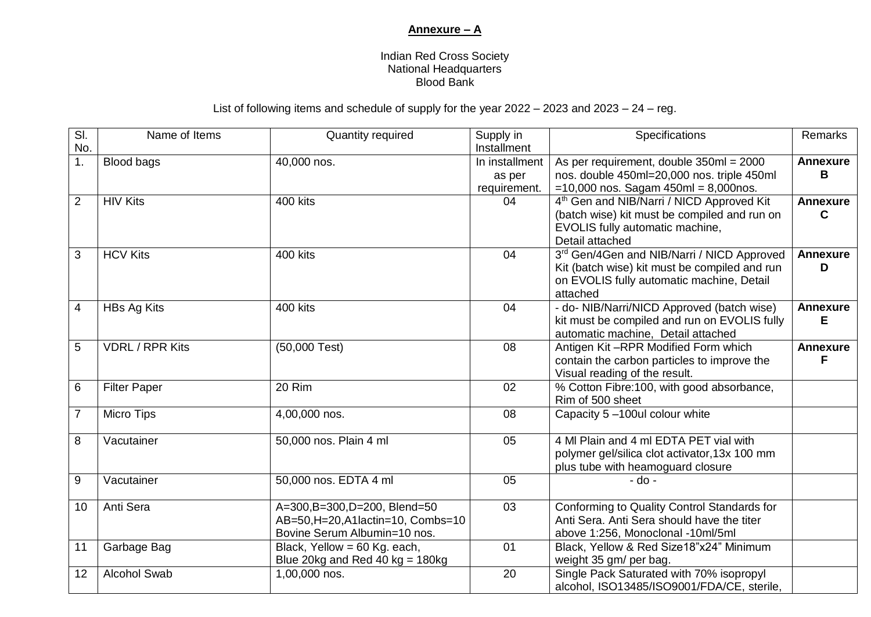### **Annexure – A**

#### Indian Red Cross Society National Headquarters Blood Bank

### List of following items and schedule of supply for the year 2022 – 2023 and 2023 – 24 – reg.

| SI.            | Name of Items          | Quantity required                  | Supply in       | Specifications                                        | Remarks         |
|----------------|------------------------|------------------------------------|-----------------|-------------------------------------------------------|-----------------|
| No.            |                        |                                    | Installment     |                                                       |                 |
| 1.             | <b>Blood bags</b>      | 40,000 nos.                        | In installment  | As per requirement, double 350ml = 2000               | <b>Annexure</b> |
|                |                        |                                    | as per          | nos. double 450ml=20,000 nos. triple 450ml            | B               |
|                |                        |                                    | requirement.    | $=10,000$ nos. Sagam 450ml = 8,000nos.                |                 |
| $\overline{2}$ | <b>HIV Kits</b>        | 400 kits                           | 04              | 4 <sup>th</sup> Gen and NIB/Narri / NICD Approved Kit | <b>Annexure</b> |
|                |                        |                                    |                 | (batch wise) kit must be compiled and run on          | C               |
|                |                        |                                    |                 | EVOLIS fully automatic machine,                       |                 |
|                |                        |                                    |                 | Detail attached                                       |                 |
| 3              | <b>HCV Kits</b>        | 400 kits                           | 04              | 3rd Gen/4Gen and NIB/Narri / NICD Approved            | <b>Annexure</b> |
|                |                        |                                    |                 | Kit (batch wise) kit must be compiled and run         | D               |
|                |                        |                                    |                 | on EVOLIS fully automatic machine, Detail             |                 |
|                |                        |                                    |                 | attached                                              |                 |
| 4              | <b>HBs Ag Kits</b>     | 400 kits                           | 04              | - do- NIB/Narri/NICD Approved (batch wise)            | <b>Annexure</b> |
|                |                        |                                    |                 | kit must be compiled and run on EVOLIS fully          | Е               |
|                |                        |                                    |                 | automatic machine, Detail attached                    |                 |
| 5              | <b>VDRL / RPR Kits</b> | $(50,000$ Test)                    | 08              | Antigen Kit-RPR Modified Form which                   | <b>Annexure</b> |
|                |                        |                                    |                 | contain the carbon particles to improve the           | F               |
|                |                        |                                    |                 | Visual reading of the result.                         |                 |
| 6              | <b>Filter Paper</b>    | 20 Rim                             | 02              | % Cotton Fibre: 100, with good absorbance,            |                 |
|                |                        |                                    |                 | Rim of 500 sheet                                      |                 |
| $\overline{7}$ | <b>Micro Tips</b>      | 4,00,000 nos.                      | 08              | Capacity 5-100ul colour white                         |                 |
|                |                        |                                    |                 |                                                       |                 |
| 8              | Vacutainer             | 50,000 nos. Plain 4 ml             | 05              | 4 MI Plain and 4 mI EDTA PET vial with                |                 |
|                |                        |                                    |                 | polymer gel/silica clot activator, 13x 100 mm         |                 |
|                |                        |                                    |                 | plus tube with heamoguard closure                     |                 |
| 9              | Vacutainer             | 50,000 nos. EDTA 4 ml              | 05              | $-do -$                                               |                 |
|                |                        |                                    |                 |                                                       |                 |
| 10             | Anti Sera              | A=300,B=300,D=200, Blend=50        | $\overline{03}$ | Conforming to Quality Control Standards for           |                 |
|                |                        | AB=50, H=20, A1lactin=10, Combs=10 |                 | Anti Sera. Anti Sera should have the titer            |                 |
|                |                        | Bovine Serum Albumin=10 nos.       |                 | above 1:256, Monoclonal -10ml/5ml                     |                 |
| 11             | Garbage Bag            | Black, Yellow = 60 Kg. each,       | 01              | Black, Yellow & Red Size18"x24" Minimum               |                 |
|                |                        | Blue 20kg and Red 40 kg = $180$ kg |                 | weight 35 gm/ per bag.                                |                 |
| 12             | <b>Alcohol Swab</b>    | 1,00,000 nos.                      | 20              | Single Pack Saturated with 70% isopropyl              |                 |
|                |                        |                                    |                 | alcohol, ISO13485/ISO9001/FDA/CE, sterile,            |                 |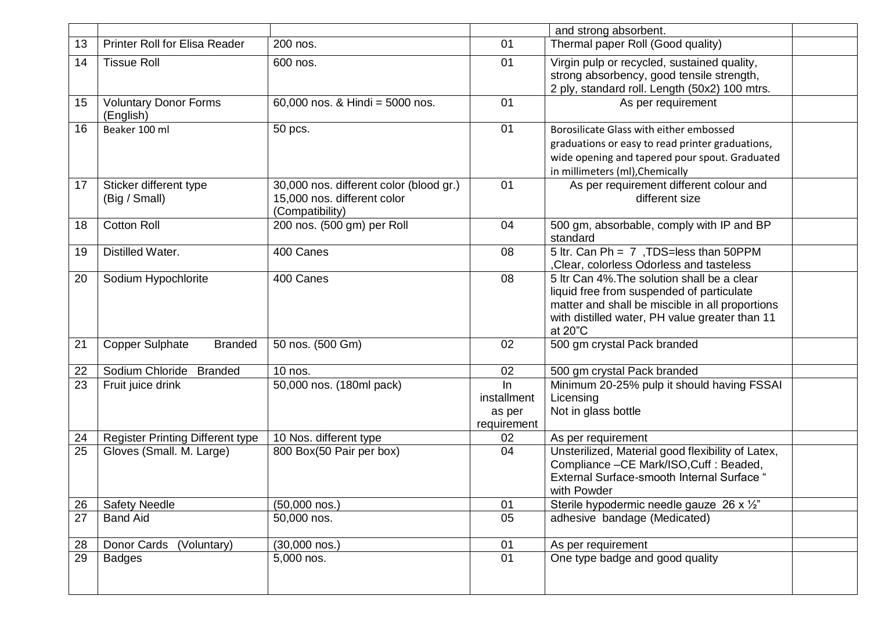|    |                                           |                                                                                           |                                            | and strong absorbent.                                                                                                                                                                                    |  |
|----|-------------------------------------------|-------------------------------------------------------------------------------------------|--------------------------------------------|----------------------------------------------------------------------------------------------------------------------------------------------------------------------------------------------------------|--|
| 13 | <b>Printer Roll for Elisa Reader</b>      | 200 nos.                                                                                  | 01                                         | Thermal paper Roll (Good quality)                                                                                                                                                                        |  |
| 14 | <b>Tissue Roll</b>                        | 600 nos.                                                                                  | 01                                         | Virgin pulp or recycled, sustained quality,<br>strong absorbency, good tensile strength,<br>2 ply, standard roll. Length (50x2) 100 mtrs.                                                                |  |
| 15 | <b>Voluntary Donor Forms</b><br>(English) | 60,000 nos. & Hindi = 5000 nos.                                                           | 01                                         | As per requirement                                                                                                                                                                                       |  |
| 16 | Beaker 100 ml                             | 50 pcs.                                                                                   | 01                                         | Borosilicate Glass with either embossed<br>graduations or easy to read printer graduations,<br>wide opening and tapered pour spout. Graduated<br>in millimeters (ml), Chemically                         |  |
| 17 | Sticker different type<br>(Big / Small)   | 30,000 nos. different color (blood gr.)<br>15,000 nos. different color<br>(Compatibility) | 01                                         | As per requirement different colour and<br>different size                                                                                                                                                |  |
| 18 | <b>Cotton Roll</b>                        | 200 nos. (500 gm) per Roll                                                                | 04                                         | 500 gm, absorbable, comply with IP and BP<br>standard                                                                                                                                                    |  |
| 19 | Distilled Water.                          | 400 Canes                                                                                 | 08                                         | 5 ltr. Can Ph = 7, TDS=less than 50PPM<br>, Clear, colorless Odorless and tasteless                                                                                                                      |  |
| 20 | Sodium Hypochlorite                       | 400 Canes                                                                                 | 08                                         | 5 Itr Can 4%. The solution shall be a clear<br>liquid free from suspended of particulate<br>matter and shall be miscible in all proportions<br>with distilled water, PH value greater than 11<br>at 20"C |  |
| 21 | <b>Copper Sulphate</b><br><b>Branded</b>  | 50 nos. (500 Gm)                                                                          | 02                                         | 500 gm crystal Pack branded                                                                                                                                                                              |  |
| 22 | Sodium Chloride<br><b>Branded</b>         | 10 nos.                                                                                   | 02                                         | 500 gm crystal Pack branded                                                                                                                                                                              |  |
| 23 | Fruit juice drink                         | 50,000 nos. (180ml pack)                                                                  | In<br>installment<br>as per<br>requirement | Minimum 20-25% pulp it should having FSSAI<br>Licensing<br>Not in glass bottle                                                                                                                           |  |
| 24 | <b>Register Printing Different type</b>   | 10 Nos. different type                                                                    | 02                                         | As per requirement                                                                                                                                                                                       |  |
| 25 | Gloves (Small. M. Large)                  | 800 Box(50 Pair per box)                                                                  | 04                                         | Unsterilized, Material good flexibility of Latex,<br>Compliance - CE Mark/ISO, Cuff : Beaded,<br><b>External Surface-smooth Internal Surface "</b><br>with Powder                                        |  |
| 26 | <b>Safety Needle</b>                      | $(50,000$ nos.)                                                                           | 01                                         | Sterile hypodermic needle gauze 26 x 1/2"                                                                                                                                                                |  |
| 27 | <b>Band Aid</b>                           | 50,000 nos.                                                                               | 05                                         | adhesive bandage (Medicated)                                                                                                                                                                             |  |
| 28 | Donor Cards<br>(Voluntary)                | $(30,000$ nos.)                                                                           | 01                                         | As per requirement                                                                                                                                                                                       |  |
| 29 | <b>Badges</b>                             | 5,000 nos.                                                                                | 01                                         | One type badge and good quality                                                                                                                                                                          |  |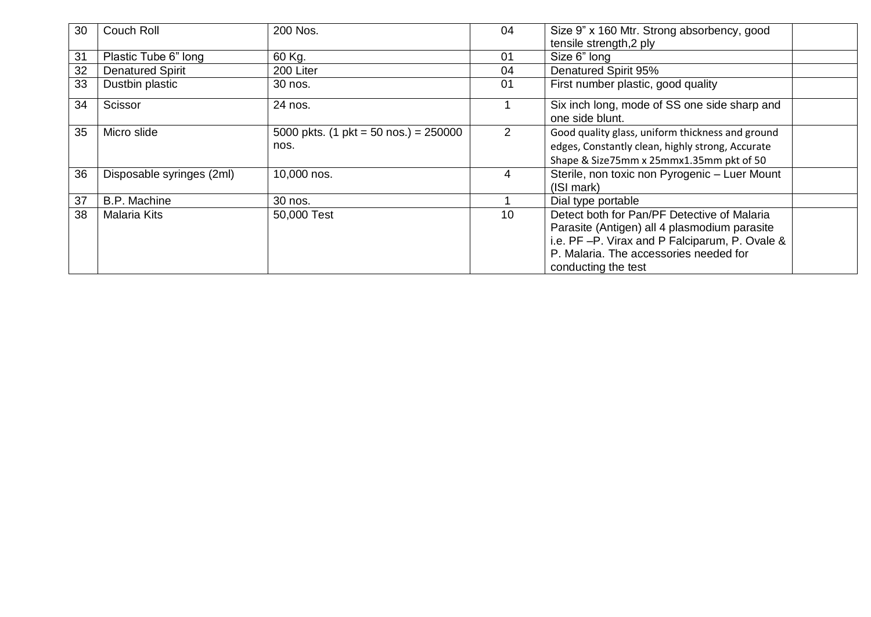| 30 | Couch Roll                | 200 Nos.                                                | 04 | Size 9" x 160 Mtr. Strong absorbency, good                      |  |
|----|---------------------------|---------------------------------------------------------|----|-----------------------------------------------------------------|--|
|    |                           |                                                         |    | tensile strength, 2 ply                                         |  |
| 31 | Plastic Tube 6" long      | 60 Kg.                                                  | 01 | Size 6" long                                                    |  |
| 32 | <b>Denatured Spirit</b>   | 200 Liter                                               | 04 | Denatured Spirit 95%                                            |  |
| 33 | Dustbin plastic           | 30 nos.                                                 | 01 | First number plastic, good quality                              |  |
| 34 | Scissor                   | 24 nos.                                                 |    | Six inch long, mode of SS one side sharp and<br>one side blunt. |  |
| 35 | Micro slide               | 5000 pkts. $(1 \text{ plt} = 50 \text{ nos.}) = 250000$ | 2  | Good quality glass, uniform thickness and ground                |  |
|    |                           | nos.                                                    |    | edges, Constantly clean, highly strong, Accurate                |  |
|    |                           |                                                         |    | Shape & Size75mm x 25mmx1.35mm pkt of 50                        |  |
| 36 | Disposable syringes (2ml) | 10,000 nos.                                             | 4  | Sterile, non toxic non Pyrogenic - Luer Mount                   |  |
|    |                           |                                                         |    | (ISI mark)                                                      |  |
| 37 | <b>B.P. Machine</b>       | 30 nos.                                                 |    | Dial type portable                                              |  |
| 38 | <b>Malaria Kits</b>       | 50,000 Test                                             | 10 | Detect both for Pan/PF Detective of Malaria                     |  |
|    |                           |                                                         |    | Parasite (Antigen) all 4 plasmodium parasite                    |  |
|    |                           |                                                         |    | i.e. PF-P. Virax and P Falciparum, P. Ovale &                   |  |
|    |                           |                                                         |    | P. Malaria. The accessories needed for                          |  |
|    |                           |                                                         |    | conducting the test                                             |  |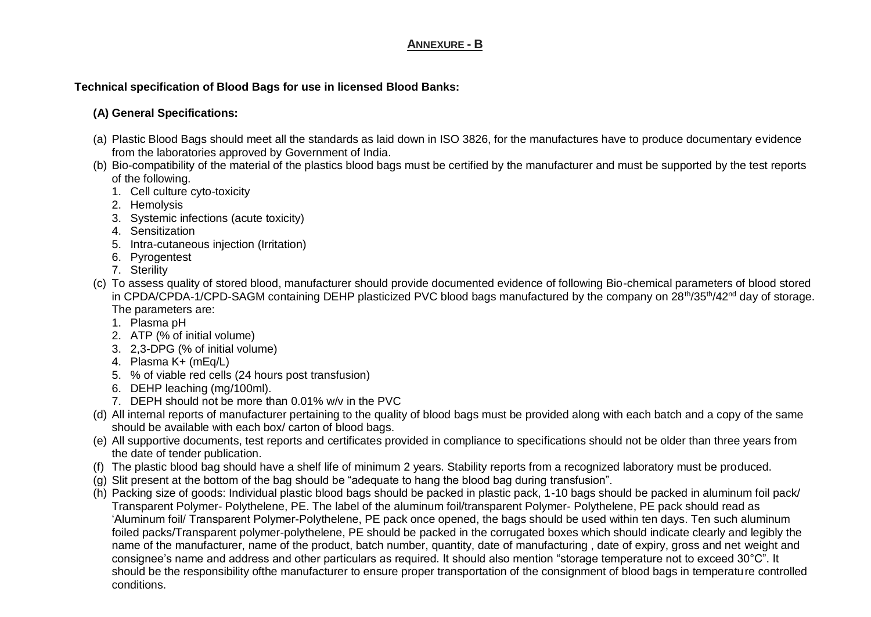#### **ANNEXURE - B**

### **Technical specification of Blood Bags for use in licensed Blood Banks:**

### **(A) General Specifications:**

- (a) Plastic Blood Bags should meet all the standards as laid down in ISO 3826, for the manufactures have to produce documentary evidence from the laboratories approved by Government of India.
- (b) Bio-compatibility of the material of the plastics blood bags must be certified by the manufacturer and must be supported by the test reports of the following.
	- 1. Cell culture cyto-toxicity
	- 2. Hemolysis
	- 3. Systemic infections (acute toxicity)
	- 4. Sensitization
	- 5. Intra-cutaneous injection (Irritation)
	- 6. Pyrogentest
	- 7. Sterility
- (c) To assess quality of stored blood, manufacturer should provide documented evidence of following Bio-chemical parameters of blood stored in CPDA/CPDA-1/CPD-SAGM containing DEHP plasticized PVC blood bags manufactured by the company on  $28<sup>th</sup>/35<sup>th</sup>/42<sup>nd</sup>$  day of storage. The parameters are:
	- 1. Plasma pH
	- 2. ATP (% of initial volume)
	- 3. 2,3-DPG (% of initial volume)
	- 4. Plasma K+ (mEq/L)
	- 5. % of viable red cells (24 hours post transfusion)
	- 6. DEHP leaching (mg/100ml).
	- 7. DEPH should not be more than 0.01% w/v in the PVC
- (d) All internal reports of manufacturer pertaining to the quality of blood bags must be provided along with each batch and a copy of the same should be available with each box/ carton of blood bags.
- (e) All supportive documents, test reports and certificates provided in compliance to specifications should not be older than three years from the date of tender publication.
- (f) The plastic blood bag should have a shelf life of minimum 2 years. Stability reports from a recognized laboratory must be produced.
- (g) Slit present at the bottom of the bag should be "adequate to hang the blood bag during transfusion".
- (h) Packing size of goods: Individual plastic blood bags should be packed in plastic pack, 1-10 bags should be packed in aluminum foil pack/ Transparent Polymer- Polythelene, PE. The label of the aluminum foil/transparent Polymer- Polythelene, PE pack should read as 'Aluminum foil/ Transparent Polymer-Polythelene, PE pack once opened, the bags should be used within ten days. Ten such aluminum foiled packs/Transparent polymer-polythelene, PE should be packed in the corrugated boxes which should indicate clearly and legibly the name of the manufacturer, name of the product, batch number, quantity, date of manufacturing , date of expiry, gross and net weight and consignee's name and address and other particulars as required. It should also mention "storage temperature not to exceed 30°C". It should be the responsibility ofthe manufacturer to ensure proper transportation of the consignment of blood bags in temperature controlled conditions.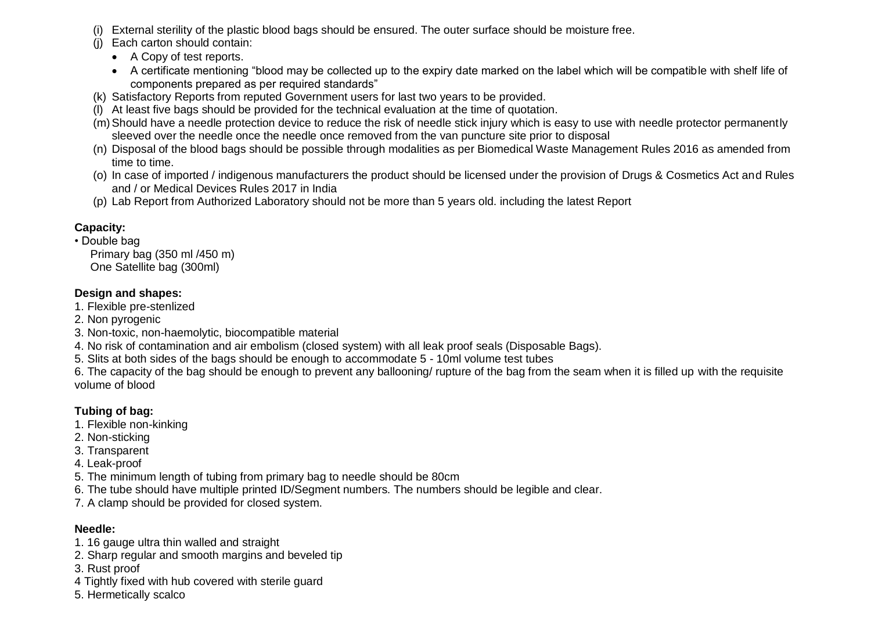- (i) External sterility of the plastic blood bags should be ensured. The outer surface should be moisture free.
- (j) Each carton should contain:
	- A Copy of test reports.
	- A certificate mentioning "blood may be collected up to the expiry date marked on the label which will be compatible with shelf life of components prepared as per required standards"
- (k) Satisfactory Reports from reputed Government users for last two years to be provided.
- (l) At least five bags should be provided for the technical evaluation at the time of quotation.
- (m)Should have a needle protection device to reduce the risk of needle stick injury which is easy to use with needle protector permanently sleeved over the needle once the needle once removed from the van puncture site prior to disposal
- (n) Disposal of the blood bags should be possible through modalities as per Biomedical Waste Management Rules 2016 as amended from time to time.
- (o) In case of imported / indigenous manufacturers the product should be licensed under the provision of Drugs & Cosmetics Act and Rules and / or Medical Devices Rules 2017 in India
- (p) Lab Report from Authorized Laboratory should not be more than 5 years old. including the latest Report

# **Capacity:**

• Double bag Primary bag (350 ml /450 m) One Satellite bag (300ml)

# **Design and shapes:**

- 1. Flexible pre-stenlized
- 2. Non pyrogenic
- 3. Non-toxic, non-haemolytic, biocompatible material
- 4. No risk of contamination and air embolism (closed system) with all leak proof seals (Disposable Bags).
- 5. Slits at both sides of the bags should be enough to accommodate 5 10ml volume test tubes

6. The capacity of the bag should be enough to prevent any ballooning/ rupture of the bag from the seam when it is filled up with the requisite volume of blood

# **Tubing of bag:**

- 1. Flexible non-kinking
- 2. Non-sticking
- 3. Transparent
- 4. Leak-proof
- 5. The minimum length of tubing from primary bag to needle should be 80cm
- 6. The tube should have multiple printed ID/Segment numbers. The numbers should be legible and clear.
- 7. A clamp should be provided for closed system.

# **Needle:**

- 1. 16 gauge ultra thin walled and straight
- 2. Sharp regular and smooth margins and beveled tip
- 3. Rust proof
- 4 Tightly fixed with hub covered with sterile guard
- 5. Hermetically scalco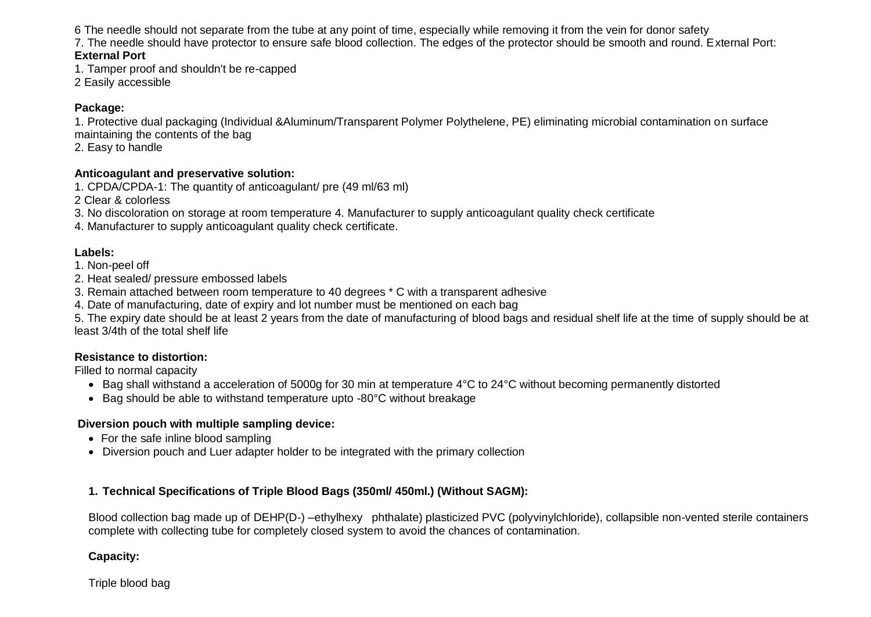6 The needle should not separate from the tube at any point of time, especially while removing it from the vein for donor safety

7. The needle should have protector to ensure safe blood collection. The edges of the protector should be smooth and round. External Port:

#### **External Port**

1. Tamper proof and shouldn't be re-capped

2 Easily accessible

#### **Package:**

1. Protective dual packaging (Individual &Aluminum/Transparent Polymer Polythelene, PE) eliminating microbial contamination on surface maintaining the contents of the bag

2. Easy to handle

#### **Anticoagulant and preservative solution:**

1. CPDA/CPDA-1: The quantity of anticoagulant/ pre (49 ml/63 ml)

2 Clear & colorless

3. No discoloration on storage at room temperature 4. Manufacturer to supply anticoagulant quality check certificate

4. Manufacturer to supply anticoagulant quality check certificate.

### **Labels:**

1. Non-peel off

2. Heat sealed/ pressure embossed labels

3. Remain attached between room temperature to 40 degrees \* C with a transparent adhesive

4. Date of manufacturing, date of expiry and lot number must be mentioned on each bag

5. The expiry date should be at least 2 years from the date of manufacturing of blood bags and residual shelf life at the time of supply should be at least 3/4th of the total shelf life

#### **Resistance to distortion:**

Filled to normal capacity

- Bag shall withstand a acceleration of 5000g for 30 min at temperature 4°C to 24°C without becoming permanently distorted
- Bag should be able to withstand temperature upto -80°C without breakage

#### **Diversion pouch with multiple sampling device:**

- For the safe inline blood sampling
- Diversion pouch and Luer adapter holder to be integrated with the primary collection

### **1. Technical Specifications of Triple Blood Bags (350ml/ 450ml.) (Without SAGM):**

Blood collection bag made up of DEHP(D-) –ethylhexy phthalate) plasticized PVC (polyvinylchloride), collapsible non-vented sterile containers complete with collecting tube for completely closed system to avoid the chances of contamination.

**Capacity:**

Triple blood bag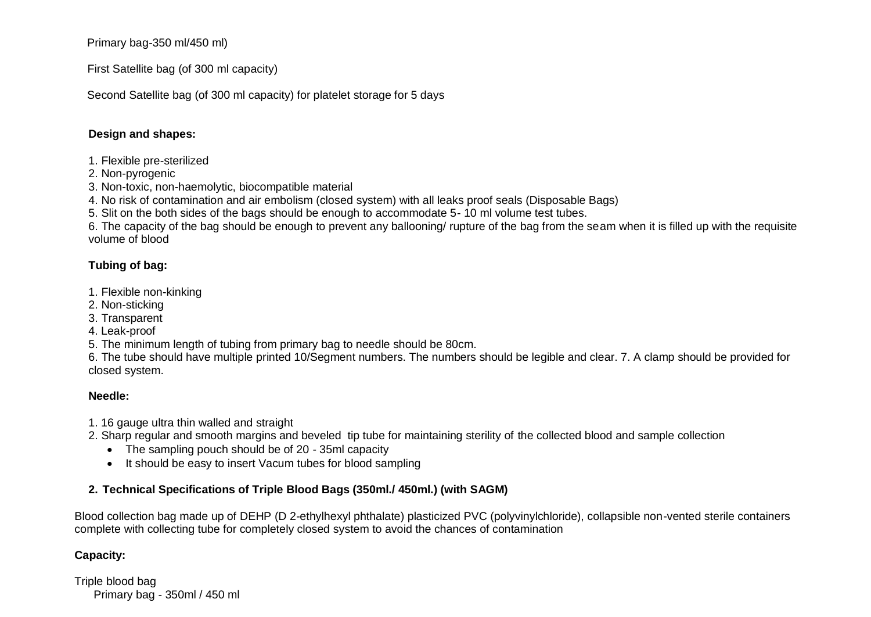Primary bag-350 ml/450 ml)

First Satellite bag (of 300 ml capacity)

Second Satellite bag (of 300 ml capacity) for platelet storage for 5 days

#### **Design and shapes:**

- 1. Flexible pre-sterilized
- 2. Non-pyrogenic
- 3. Non-toxic, non-haemolytic, biocompatible material
- 4. No risk of contamination and air embolism (closed system) with all leaks proof seals (Disposable Bags)
- 5. Slit on the both sides of the bags should be enough to accommodate 5- 10 ml volume test tubes.

6. The capacity of the bag should be enough to prevent any ballooning/ rupture of the bag from the seam when it is filled up with the requisite volume of blood

### **Tubing of bag:**

- 1. Flexible non-kinking
- 2. Non-sticking
- 3. Transparent
- 4. Leak-proof
- 5. The minimum length of tubing from primary bag to needle should be 80cm.
- 6. The tube should have multiple printed 10/Segment numbers. The numbers should be legible and clear. 7. A clamp should be provided for closed system.

#### **Needle:**

- 1. 16 gauge ultra thin walled and straight
- 2. Sharp regular and smooth margins and beveled tip tube for maintaining sterility of the collected blood and sample collection
	- The sampling pouch should be of 20 35ml capacity
	- It should be easy to insert Vacum tubes for blood sampling

### **2. Technical Specifications of Triple Blood Bags (350ml./ 450ml.) (with SAGM)**

Blood collection bag made up of DEHP (D 2-ethylhexyl phthalate) plasticized PVC (polyvinylchloride), collapsible non-vented sterile containers complete with collecting tube for completely closed system to avoid the chances of contamination

### **Capacity:**

Triple blood bag Primary bag - 350ml / 450 ml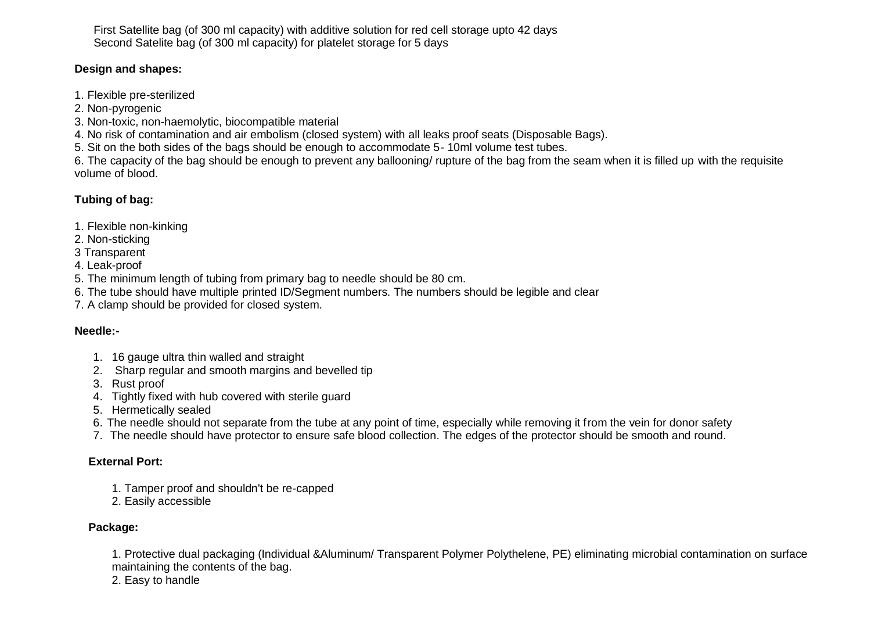First Satellite bag (of 300 ml capacity) with additive solution for red cell storage upto 42 days Second Satelite bag (of 300 ml capacity) for platelet storage for 5 days

#### **Design and shapes:**

- 1. Flexible pre-sterilized
- 2. Non-pyrogenic
- 3. Non-toxic, non-haemolytic, biocompatible material

4. No risk of contamination and air embolism (closed system) with all leaks proof seats (Disposable Bags).

5. Sit on the both sides of the bags should be enough to accommodate 5- 10ml volume test tubes.

6. The capacity of the bag should be enough to prevent any ballooning/ rupture of the bag from the seam when it is filled up with the requisite volume of blood.

### **Tubing of bag:**

- 1. Flexible non-kinking
- 2. Non-sticking
- 3 Transparent
- 4. Leak-proof
- 5. The minimum length of tubing from primary bag to needle should be 80 cm.
- 6. The tube should have multiple printed ID/Segment numbers. The numbers should be legible and clear
- 7. A clamp should be provided for closed system.

### **Needle:-**

- 1. 16 gauge ultra thin walled and straight
- 2. Sharp regular and smooth margins and bevelled tip
- 3. Rust proof
- 4. Tightly fixed with hub covered with sterile guard
- 5. Hermetically sealed
- 6. The needle should not separate from the tube at any point of time, especially while removing it from the vein for donor safety
- 7. The needle should have protector to ensure safe blood collection. The edges of the protector should be smooth and round.

### **External Port:**

- 1. Tamper proof and shouldn't be re-capped
- 2. Easily accessible

### **Package:**

1. Protective dual packaging (Individual &Aluminum/ Transparent Polymer Polythelene, PE) eliminating microbial contamination on surface maintaining the contents of the bag.

2. Easy to handle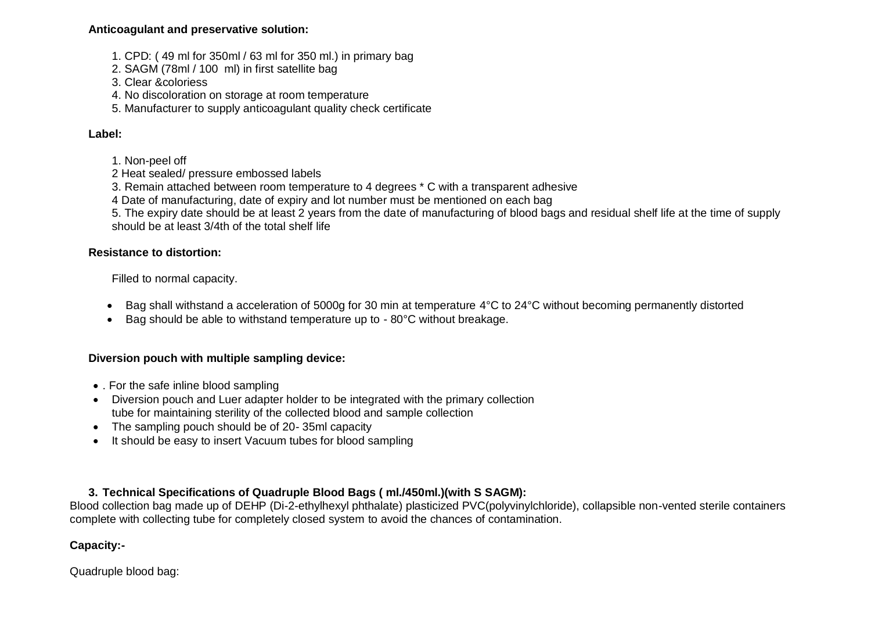#### **Anticoagulant and preservative solution:**

- 1. CPD: ( 49 ml for 350ml / 63 ml for 350 ml.) in primary bag
- 2. SAGM (78ml / 100 ml) in first satellite bag
- 3. Clear &coloriess
- 4. No discoloration on storage at room temperature
- 5. Manufacturer to supply anticoagulant quality check certificate

### **Label:**

- 1. Non-peel off
- 2 Heat sealed/ pressure embossed labels
- 3. Remain attached between room temperature to 4 degrees \* C with a transparent adhesive
- 4 Date of manufacturing, date of expiry and lot number must be mentioned on each bag

5. The expiry date should be at least 2 years from the date of manufacturing of blood bags and residual shelf life at the time of supply should be at least 3/4th of the total shelf life

#### **Resistance to distortion:**

Filled to normal capacity.

- Bag shall withstand a acceleration of 5000g for 30 min at temperature 4°C to 24°C without becoming permanently distorted
- Bag should be able to withstand temperature up to 80°C without breakage.

### **Diversion pouch with multiple sampling device:**

- For the safe inline blood sampling
- Diversion pouch and Luer adapter holder to be integrated with the primary collection tube for maintaining sterility of the collected blood and sample collection
- The sampling pouch should be of 20-35ml capacity
- It should be easy to insert Vacuum tubes for blood sampling

### **3. Technical Specifications of Quadruple Blood Bags ( ml./450ml.)(with S SAGM):**

Blood collection bag made up of DEHP (Di-2-ethylhexyl phthalate) plasticized PVC(polyvinylchloride), collapsible non-vented sterile containers complete with collecting tube for completely closed system to avoid the chances of contamination.

### **Capacity:-**

Quadruple blood bag: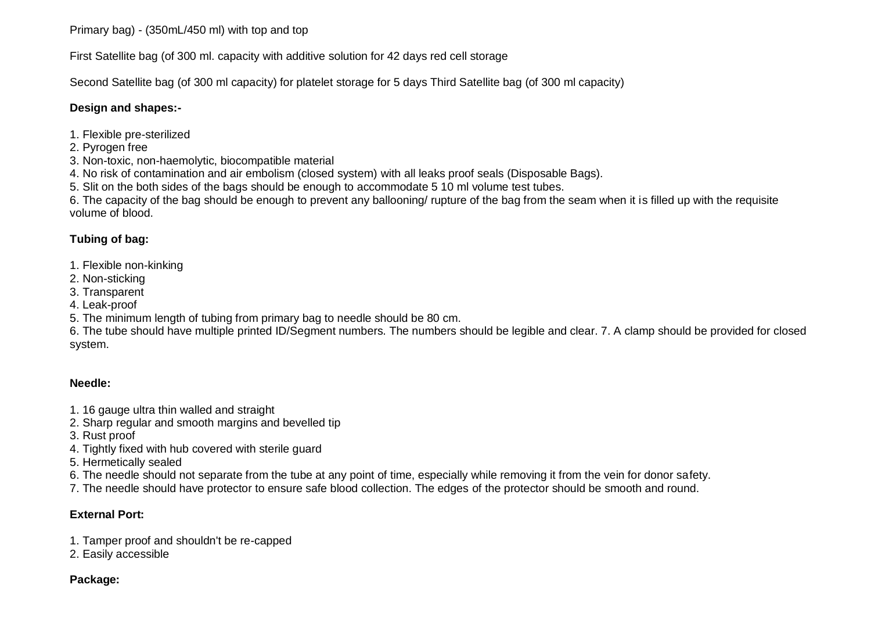Primary bag) - (350mL/450 ml) with top and top

First Satellite bag (of 300 ml. capacity with additive solution for 42 days red cell storage

Second Satellite bag (of 300 ml capacity) for platelet storage for 5 days Third Satellite bag (of 300 ml capacity)

#### **Design and shapes:-**

- 1. Flexible pre-sterilized
- 2. Pyrogen free
- 3. Non-toxic, non-haemolytic, biocompatible material
- 4. No risk of contamination and air embolism (closed system) with all leaks proof seals (Disposable Bags).
- 5. Slit on the both sides of the bags should be enough to accommodate 5 10 ml volume test tubes.

6. The capacity of the bag should be enough to prevent any ballooning/ rupture of the bag from the seam when it is filled up with the requisite volume of blood.

### **Tubing of bag:**

- 1. Flexible non-kinking
- 2. Non-sticking
- 3. Transparent
- 4. Leak-proof
- 5. The minimum length of tubing from primary bag to needle should be 80 cm.

6. The tube should have multiple printed ID/Segment numbers. The numbers should be legible and clear. 7. A clamp should be provided for closed system.

#### **Needle:**

- 1. 16 gauge ultra thin walled and straight
- 2. Sharp regular and smooth margins and bevelled tip
- 3. Rust proof
- 4. Tightly fixed with hub covered with sterile guard
- 5. Hermetically sealed
- 6. The needle should not separate from the tube at any point of time, especially while removing it from the vein for donor safety.
- 7. The needle should have protector to ensure safe blood collection. The edges of the protector should be smooth and round.

### **External Port:**

- 1. Tamper proof and shouldn't be re-capped
- 2. Easily accessible

#### **Package:**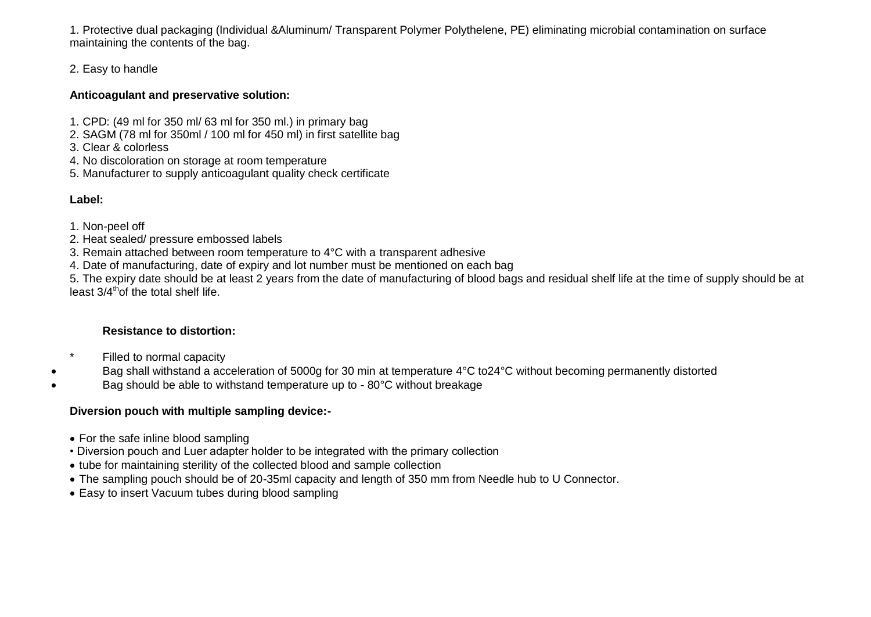1. Protective dual packaging (Individual &Aluminum/ Transparent Polymer Polythelene, PE) eliminating microbial contamination on surface maintaining the contents of the bag.

### 2. Easy to handle

#### **Anticoagulant and preservative solution:**

- 1. CPD: (49 ml for 350 ml/ 63 ml for 350 ml.) in primary bag
- 2. SAGM (78 ml for 350ml / 100 ml for 450 ml) in first satellite bag
- 3. Clear & colorless
- 4. No discoloration on storage at room temperature
- 5. Manufacturer to supply anticoagulant quality check certificate

### **Label:**

- 1. Non-peel off
- 2. Heat sealed/ pressure embossed labels
- 3. Remain attached between room temperature to 4°C with a transparent adhesive
- 4. Date of manufacturing, date of expiry and lot number must be mentioned on each bag

5. The expiry date should be at least 2 years from the date of manufacturing of blood bags and residual shelf life at the time of supply should be at least 3/4<sup>th</sup> of the total shelf life.

### **Resistance to distortion:**

- \* Filled to normal capacity
- Bag shall withstand a acceleration of 5000g for 30 min at temperature 4°C to24°C without becoming permanently distorted
- Bag should be able to withstand temperature up to 80°C without breakage

### **Diversion pouch with multiple sampling device:-**

- For the safe inline blood sampling
- Diversion pouch and Luer adapter holder to be integrated with the primary collection
- tube for maintaining sterility of the collected blood and sample collection
- The sampling pouch should be of 20-35ml capacity and length of 350 mm from Needle hub to U Connector.
- Easy to insert Vacuum tubes during blood sampling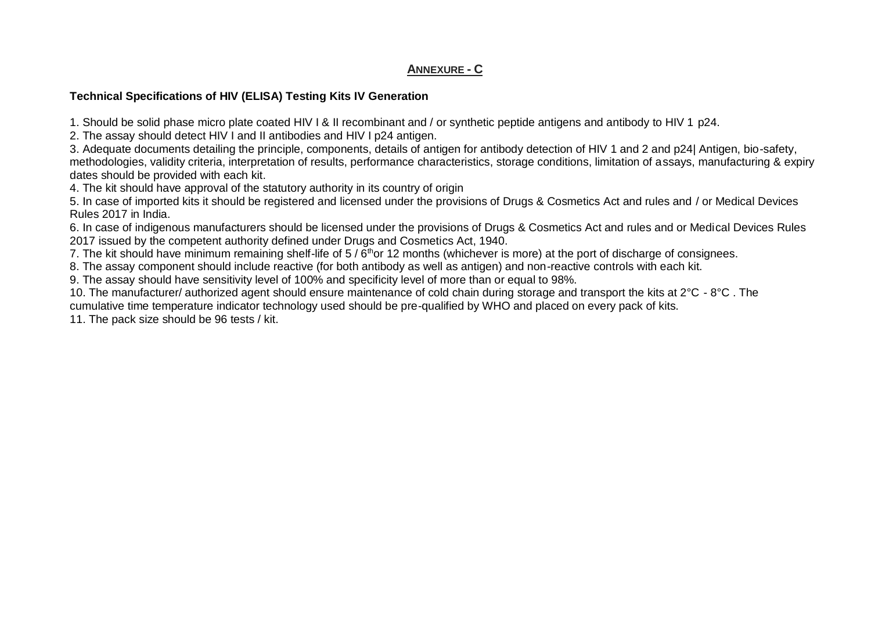#### **ANNEXURE - C**

#### **Technical Specifications of HIV (ELISA) Testing Kits IV Generation**

1. Should be solid phase micro plate coated HIV I & II recombinant and / or synthetic peptide antigens and antibody to HIV 1 p24.

2. The assay should detect HIV I and II antibodies and HIV I p24 antigen.

3. Adequate documents detailing the principle, components, details of antigen for antibody detection of HIV 1 and 2 and p24| Antigen, bio-safety, methodologies, validity criteria, interpretation of results, performance characteristics, storage conditions, limitation of assays, manufacturing & expiry dates should be provided with each kit.

4. The kit should have approval of the statutory authority in its country of origin

5. In case of imported kits it should be registered and licensed under the provisions of Drugs & Cosmetics Act and rules and / or Medical Devices Rules 2017 in India.

6. In case of indigenous manufacturers should be licensed under the provisions of Drugs & Cosmetics Act and rules and or Medical Devices Rules 2017 issued by the competent authority defined under Drugs and Cosmetics Act, 1940.

7. The kit should have minimum remaining shelf-life of 5 / 6<sup>th</sup>or 12 months (whichever is more) at the port of discharge of consignees.

8. The assay component should include reactive (for both antibody as well as antigen) and non-reactive controls with each kit.

9. The assay should have sensitivity level of 100% and specificity level of more than or equal to 98%.

10. The manufacturer/ authorized agent should ensure maintenance of cold chain during storage and transport the kits at 2°C - 8°C . The cumulative time temperature indicator technology used should be pre-qualified by WHO and placed on every pack of kits.

11. The pack size should be 96 tests / kit.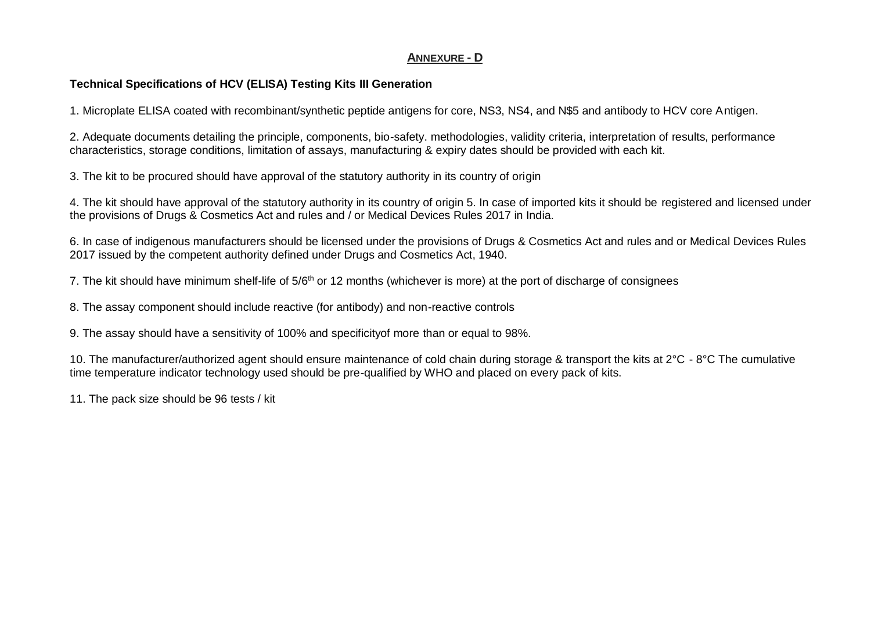### **ANNEXURE - D**

#### **Technical Specifications of HCV (ELISA) Testing Kits III Generation**

1. Microplate ELISA coated with recombinant/synthetic peptide antigens for core, NS3, NS4, and N\$5 and antibody to HCV core Antigen.

2. Adequate documents detailing the principle, components, bio-safety. methodologies, validity criteria, interpretation of results, performance characteristics, storage conditions, limitation of assays, manufacturing & expiry dates should be provided with each kit.

3. The kit to be procured should have approval of the statutory authority in its country of origin

4. The kit should have approval of the statutory authority in its country of origin 5. In case of imported kits it should be registered and licensed under the provisions of Drugs & Cosmetics Act and rules and / or Medical Devices Rules 2017 in India.

6. In case of indigenous manufacturers should be licensed under the provisions of Drugs & Cosmetics Act and rules and or Medical Devices Rules 2017 issued by the competent authority defined under Drugs and Cosmetics Act, 1940.

7. The kit should have minimum shelf-life of  $5/6<sup>th</sup>$  or 12 months (whichever is more) at the port of discharge of consignees

8. The assay component should include reactive (for antibody) and non-reactive controls

9. The assay should have a sensitivity of 100% and specificityof more than or equal to 98%.

10. The manufacturer/authorized agent should ensure maintenance of cold chain during storage & transport the kits at 2°C - 8°C The cumulative time temperature indicator technology used should be pre-qualified by WHO and placed on every pack of kits.

11. The pack size should be 96 tests / kit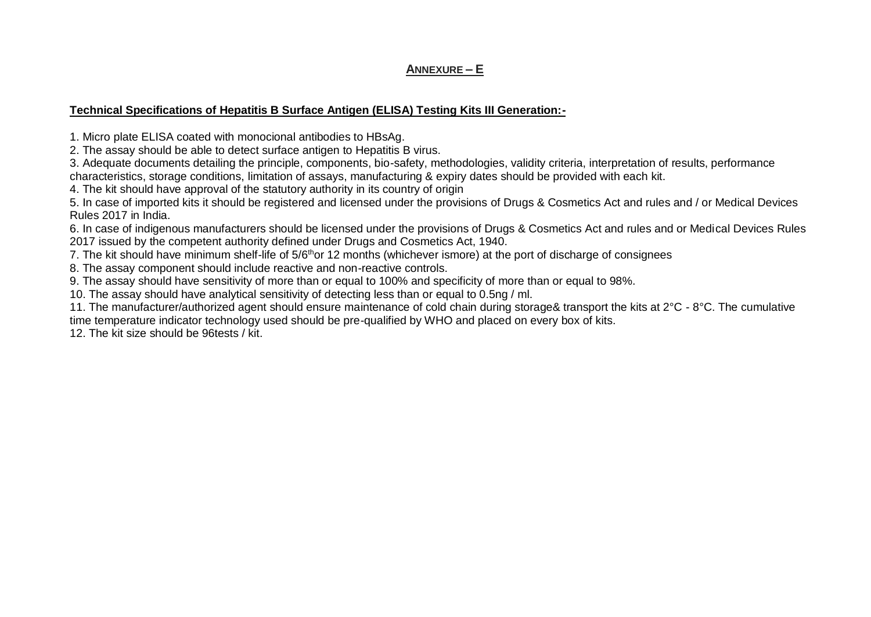### **ANNEXURE – E**

#### **Technical Specifications of Hepatitis B Surface Antigen (ELISA) Testing Kits III Generation:-**

1. Micro plate ELISA coated with monocional antibodies to HBsAg.

2. The assay should be able to detect surface antigen to Hepatitis B virus.

3. Adequate documents detailing the principle, components, bio-safety, methodologies, validity criteria, interpretation of results, performance characteristics, storage conditions, limitation of assays, manufacturing & expiry dates should be provided with each kit.

4. The kit should have approval of the statutory authority in its country of origin

5. In case of imported kits it should be registered and licensed under the provisions of Drugs & Cosmetics Act and rules and / or Medical Devices Rules 2017 in India.

6. In case of indigenous manufacturers should be licensed under the provisions of Drugs & Cosmetics Act and rules and or Medical Devices Rules 2017 issued by the competent authority defined under Drugs and Cosmetics Act, 1940.

7. The kit should have minimum shelf-life of 5/6<sup>th</sup>or 12 months (whichever ismore) at the port of discharge of consignees

8. The assay component should include reactive and non-reactive controls.

9. The assay should have sensitivity of more than or equal to 100% and specificity of more than or equal to 98%.

10. The assay should have analytical sensitivity of detecting less than or equal to 0.5ng / ml.

11. The manufacturer/authorized agent should ensure maintenance of cold chain during storage& transport the kits at 2°C - 8°C. The cumulative time temperature indicator technology used should be pre-qualified by WHO and placed on every box of kits.

12. The kit size should be 96tests / kit.